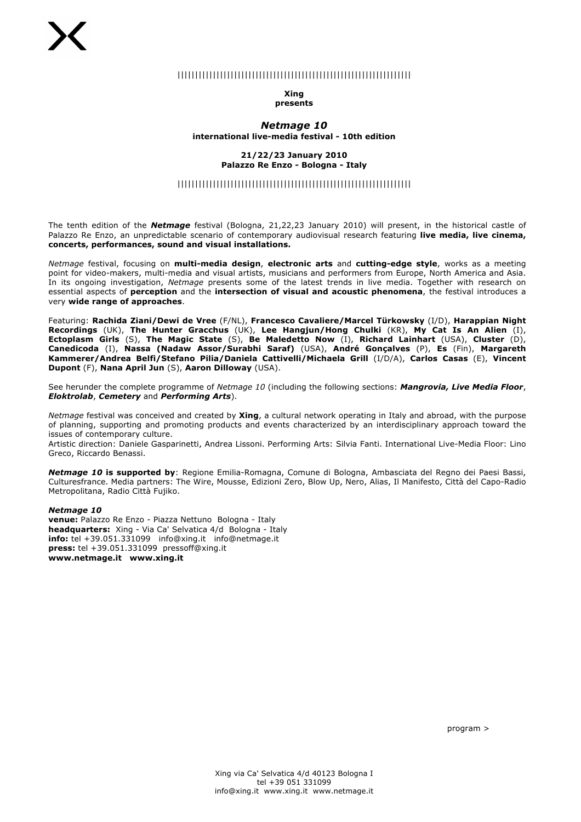## ||||||||||||||||||||||||||||||||||||||||||||||||||||||||||||||||||

### **Xing presents**

### *Netmage 10* **international live-media festival - 10th edition**

#### **21/22/23 January 2010 Palazzo Re Enzo - Bologna - Italy**

## ||||||||||||||||||||||||||||||||||||||||||||||||||||||||||||||||||

The tenth edition of the *Netmage* festival (Bologna, 21,22,23 January 2010) will present, in the historical castle of Palazzo Re Enzo, an unpredictable scenario of contemporary audiovisual research featuring **live media, live cinema, concerts, performances, sound and visual installations.**

*Netmage* festival, focusing on **multi-media design**, **electronic arts** and **cutting-edge style**, works as a meeting point for video-makers, multi-media and visual artists, musicians and performers from Europe, North America and Asia. In its ongoing investigation, *Netmage* presents some of the latest trends in live media. Together with research on essential aspects of **perception** and the **intersection of visual and acoustic phenomena**, the festival introduces a very **wide range of approaches**.

Featuring: **Rachida Ziani/Dewi de Vree** (F/NL), **Francesco Cavaliere/Marcel Türkowsky** (I/D), **Harappian Night Recordings** (UK), **The Hunter Gracchus** (UK), **Lee Hangjun/Hong Chulki** (KR), **My Cat Is An Alien** (I), **Ectoplasm Girls** (S), **The Magic State** (S), **Be Maledetto Now** (I), **Richard Lainhart** (USA), **Cluster** (D), **Canedicoda** (I), **Nassa (Nadaw Assor/Surabhi Saraf)** (USA), **André Gonçalves** (P), **Es** (Fin), **Margareth Kammerer/Andrea Belfi/Stefano Pilia/Daniela Cattivelli/Michaela Grill** (I/D/A), **Carlos Casas** (E), **Vincent Dupont** (F), **Nana April Jun** (S), **Aaron Dilloway** (USA).

See herunder the complete programme of *Netmage 10* (including the following sections: *Mangrovia, Live Media Floor*, *Eloktrolab*, *Cemetery* and *Performing Arts*).

*Netmage* festival was conceived and created by **Xing**, a cultural network operating in Italy and abroad, with the purpose of planning, supporting and promoting products and events characterized by an interdisciplinary approach toward the issues of contemporary culture.

Artistic direction: Daniele Gasparinetti, Andrea Lissoni. Performing Arts: Silvia Fanti. International Live-Media Floor: Lino Greco, Riccardo Benassi.

*Netmage 10* **is supported by**: Regione Emilia-Romagna, Comune di Bologna, Ambasciata del Regno dei Paesi Bassi, Culturesfrance. Media partners: The Wire, Mousse, Edizioni Zero, Blow Up, Nero, Alias, Il Manifesto, Città del Capo-Radio Metropolitana, Radio Città Fujiko.

### *Netmage 10*

**venue:** Palazzo Re Enzo - Piazza Nettuno Bologna - Italy **headquarters:** Xing - Via Ca' Selvatica 4/d Bologna - Italy **info:** tel +39.051.331099 info@xing.it info@netmage.it **press:** tel +39.051.331099 pressoff@xing.it **www.netmage.it www.xing.it**

program >